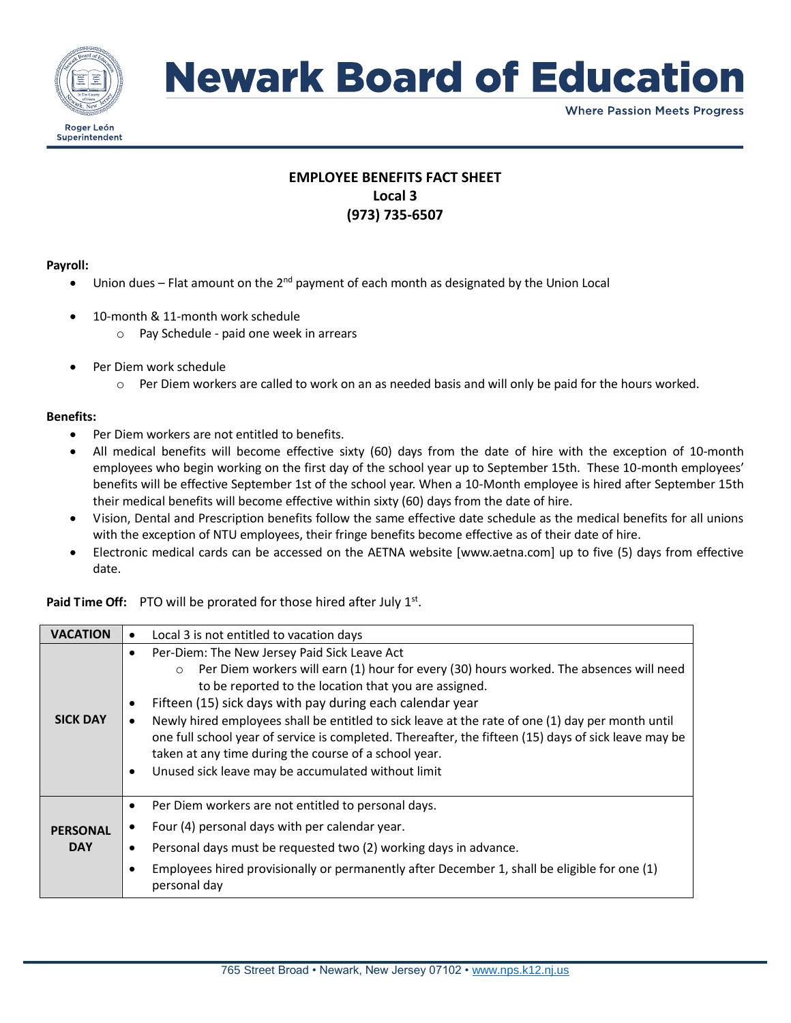

## **Newark Board of Education**

**Where Passion Meets Progress** 

### **EMPLOYEE BENEFITS FACT SHEET Local 3 (973) 735-6507**

#### **Payroll:**

- Union dues Flat amount on the  $2^{nd}$  payment of each month as designated by the Union Local
- 10-month & 11-month work schedule
	- o Pay Schedule paid one week in arrears
- Per Diem work schedule
	- $\circ$  Per Diem workers are called to work on an as needed basis and will only be paid for the hours worked.

### **Benefits:**

- Per Diem workers are not entitled to benefits.
- All medical benefits will become effective sixty (60) days from the date of hire with the exception of 10-month employees who begin working on the first day of the school year up to September 15th. These 10-month employees' benefits will be effective September 1st of the school year. When a 10-Month employee is hired after September 15th their medical benefits will become effective within sixty (60) days from the date of hire.
- Vision, Dental and Prescription benefits follow the same effective date schedule as the medical benefits for all unions with the exception of NTU employees, their fringe benefits become effective as of their date of hire.
- Electronic medical cards can be accessed on the AETNA website [www.aetna.com] up to five (5) days from effective date.

Paid Time Off: PTO will be prorated for those hired after July 1<sup>st</sup>.

| <b>VACATION</b>               | ٠                                        | Local 3 is not entitled to vacation days                                                                                                                                                                                                                                                                                                                                                                                                                                                                                                                                                            |
|-------------------------------|------------------------------------------|-----------------------------------------------------------------------------------------------------------------------------------------------------------------------------------------------------------------------------------------------------------------------------------------------------------------------------------------------------------------------------------------------------------------------------------------------------------------------------------------------------------------------------------------------------------------------------------------------------|
| <b>SICK DAY</b>               | $\bullet$<br>٠<br>$\bullet$<br>$\bullet$ | Per-Diem: The New Jersey Paid Sick Leave Act<br>Per Diem workers will earn (1) hour for every (30) hours worked. The absences will need<br>$\circ$<br>to be reported to the location that you are assigned.<br>Fifteen (15) sick days with pay during each calendar year<br>Newly hired employees shall be entitled to sick leave at the rate of one (1) day per month until<br>one full school year of service is completed. Thereafter, the fifteen (15) days of sick leave may be<br>taken at any time during the course of a school year.<br>Unused sick leave may be accumulated without limit |
| <b>PERSONAL</b><br><b>DAY</b> | $\bullet$<br>٠<br>٠                      | Per Diem workers are not entitled to personal days.<br>Four (4) personal days with per calendar year.<br>Personal days must be requested two (2) working days in advance.<br>Employees hired provisionally or permanently after December 1, shall be eligible for one (1)<br>personal day                                                                                                                                                                                                                                                                                                           |